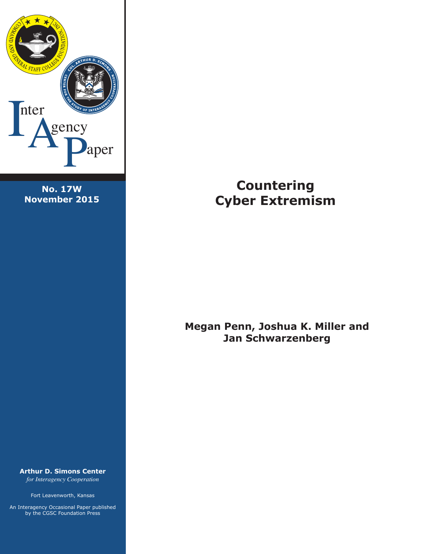

**No. 17W November 2015**

**Arthur D. Simons Center**  *for Interagency Cooperation*

Fort Leavenworth, Kansas

An Interagency Occasional Paper published by the CGSC Foundation Press

# **Countering Cyber Extremism**

**Megan Penn, Joshua K. Miller and Jan Schwarzenberg**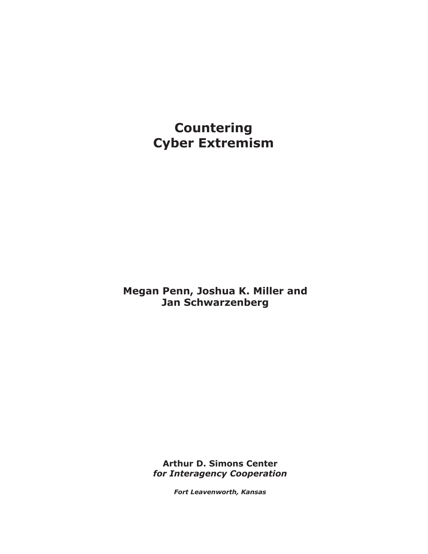**Countering Cyber Extremism**

**Megan Penn, Joshua K. Miller and Jan Schwarzenberg**

> **Arthur D. Simons Center** *for Interagency Cooperation*

> > *Fort Leavenworth, Kansas*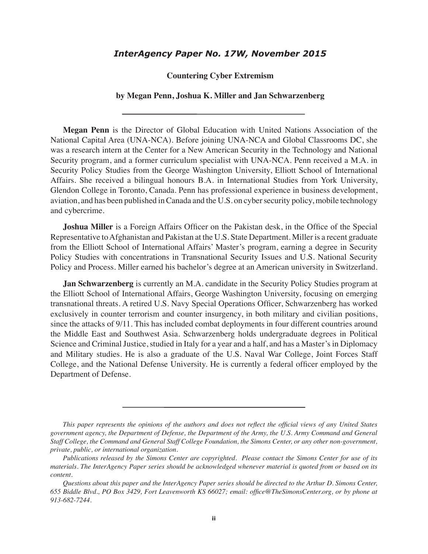### *InterAgency Paper No. 17W, November 2015*

**Countering Cyber Extremism**

#### **by Megan Penn, Joshua K. Miller and Jan Schwarzenberg**

**Megan Penn** is the Director of Global Education with United Nations Association of the National Capital Area (UNA-NCA). Before joining UNA-NCA and Global Classrooms DC, she was a research intern at the Center for a New American Security in the Technology and National Security program, and a former curriculum specialist with UNA-NCA. Penn received a M.A. in Security Policy Studies from the George Washington University, Elliott School of International Affairs. She received a bilingual honours B.A. in International Studies from York University, Glendon College in Toronto, Canada. Penn has professional experience in business development, aviation, and has been published in Canada and the U.S. on cyber security policy, mobile technology and cybercrime.

**Joshua Miller** is a Foreign Affairs Officer on the Pakistan desk, in the Office of the Special Representative to Afghanistan and Pakistan at the U.S. State Department. Miller is a recent graduate from the Elliott School of International Affairs' Master's program, earning a degree in Security Policy Studies with concentrations in Transnational Security Issues and U.S. National Security Policy and Process. Miller earned his bachelor's degree at an American university in Switzerland.

**Jan Schwarzenberg** is currently an M.A. candidate in the Security Policy Studies program at the Elliott School of International Affairs, George Washington University, focusing on emerging transnational threats. A retired U.S. Navy Special Operations Officer, Schwarzenberg has worked exclusively in counter terrorism and counter insurgency, in both military and civilian positions, since the attacks of 9/11. This has included combat deployments in four different countries around the Middle East and Southwest Asia. Schwarzenberg holds undergraduate degrees in Political Science and Criminal Justice, studied in Italy for a year and a half, and has a Master's in Diplomacy and Military studies. He is also a graduate of the U.S. Naval War College, Joint Forces Staff College, and the National Defense University. He is currently a federal officer employed by the Department of Defense.

*This paper represents the opinions of the authors and does not reflect the official views of any United States government agency, the Department of Defense, the Department of the Army, the U.S. Army Command and General Staff College, the Command and General Staff College Foundation, the Simons Center, or any other non-government, private, public, or international organization.*

*Publications released by the Simons Center are copyrighted. Please contact the Simons Center for use of its materials. The InterAgency Paper series should be acknowledged whenever material is quoted from or based on its content.*

*Questions about this paper and the InterAgency Paper series should be directed to the Arthur D. Simons Center, 655 Biddle Blvd., PO Box 3429, Fort Leavenworth KS 66027; email: office@TheSimonsCenter.org, or by phone at 913-682-7244.*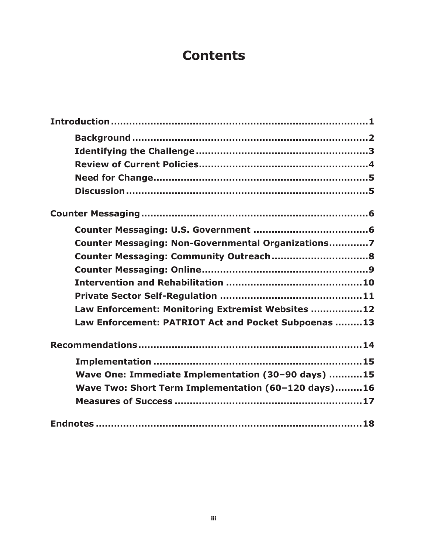## **Contents**

| Counter Messaging: Non-Governmental Organizations7   |  |
|------------------------------------------------------|--|
|                                                      |  |
|                                                      |  |
|                                                      |  |
|                                                      |  |
| Law Enforcement: Monitoring Extremist Websites 12    |  |
| Law Enforcement: PATRIOT Act and Pocket Subpoenas 13 |  |
|                                                      |  |
|                                                      |  |
| Wave One: Immediate Implementation (30-90 days) 15   |  |
| Wave Two: Short Term Implementation (60-120 days)16  |  |
|                                                      |  |
|                                                      |  |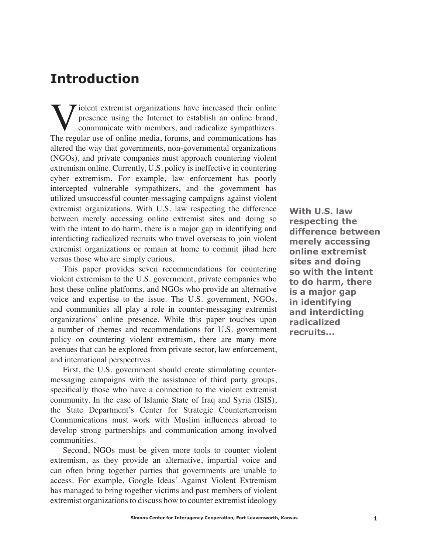## **Introduction**

Violent extremist organizations have increased their online<br>presence using the Internet to establish an online brand,<br>communicate with members, and radicalize sympathizers.<br>The regular use of online media, forums, and comm presence using the Internet to establish an online brand, communicate with members, and radicalize sympathizers. The regular use of online media, forums, and communications has altered the way that governments, non-governmental organizations (NGOs), and private companies must approach countering violent extremism online. Currently, U.S. policy is ineffective in countering cyber extremism. For example, law enforcement has poorly intercepted vulnerable sympathizers, and the government has utilized unsuccessful counter-messaging campaigns against violent extremist organizations. With U.S. law respecting the difference between merely accessing online extremist sites and doing so with the intent to do harm, there is a major gap in identifying and interdicting radicalized recruits who travel overseas to join violent extremist organizations or remain at home to commit jihad here versus those who are simply curious.

This paper provides seven recommendations for countering violent extremism to the U.S. government, private companies who host these online platforms, and NGOs who provide an alternative voice and expertise to the issue. The U.S. government, NGOs, and communities all play a role in counter-messaging extremist organizations' online presence. While this paper touches upon a number of themes and recommendations for U.S. government policy on countering violent extremism, there are many more avenues that can be explored from private sector, law enforcement, and international perspectives.

First, the U.S. government should create stimulating countermessaging campaigns with the assistance of third party groups, specifically those who have a connection to the violent extremist community. In the case of Islamic State of Iraq and Syria (ISIS), the State Department's Center for Strategic Counterterrorism Communications must work with Muslim influences abroad to develop strong partnerships and communication among involved communities.

Second, NGOs must be given more tools to counter violent extremism, as they provide an alternative, impartial voice and can often bring together parties that governments are unable to access. For example, Google Ideas' Against Violent Extremism has managed to bring together victims and past members of violent extremist organizations to discuss how to counter extremist ideology

**With U.S. law respecting the difference between merely accessing online extremist sites and doing so with the intent to do harm, there is a major gap in identifying and interdicting radicalized recruits...**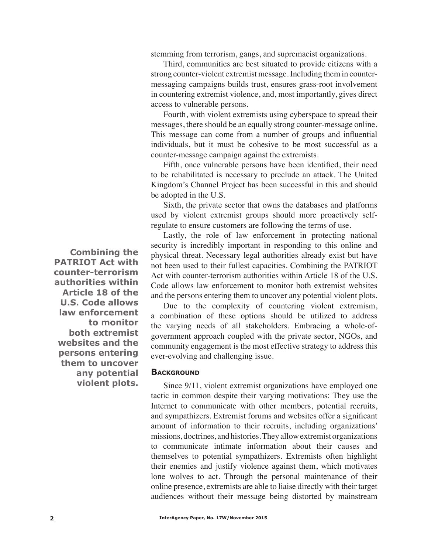stemming from terrorism, gangs, and supremacist organizations.

Third, communities are best situated to provide citizens with a strong counter-violent extremist message. Including them in countermessaging campaigns builds trust, ensures grass-root involvement in countering extremist violence, and, most importantly, gives direct access to vulnerable persons.

Fourth, with violent extremists using cyberspace to spread their messages, there should be an equally strong counter-message online. This message can come from a number of groups and influential individuals, but it must be cohesive to be most successful as a counter-message campaign against the extremists.

Fifth, once vulnerable persons have been identified, their need to be rehabilitated is necessary to preclude an attack. The United Kingdom's Channel Project has been successful in this and should be adopted in the U.S.

Sixth, the private sector that owns the databases and platforms used by violent extremist groups should more proactively selfregulate to ensure customers are following the terms of use.

Lastly, the role of law enforcement in protecting national security is incredibly important in responding to this online and physical threat. Necessary legal authorities already exist but have not been used to their fullest capacities. Combining the PATRIOT Act with counter-terrorism authorities within Article 18 of the U.S. Code allows law enforcement to monitor both extremist websites and the persons entering them to uncover any potential violent plots.

Due to the complexity of countering violent extremism, a combination of these options should be utilized to address the varying needs of all stakeholders. Embracing a whole-ofgovernment approach coupled with the private sector, NGOs, and community engagement is the most effective strategy to address this ever-evolving and challenging issue.

#### **BACKGROUND**

Since 9/11, violent extremist organizations have employed one tactic in common despite their varying motivations: They use the Internet to communicate with other members, potential recruits, and sympathizers. Extremist forums and websites offer a significant amount of information to their recruits, including organizations' missions, doctrines, and histories. They allow extremist organizations to communicate intimate information about their causes and themselves to potential sympathizers. Extremists often highlight their enemies and justify violence against them, which motivates lone wolves to act. Through the personal maintenance of their online presence, extremists are able to liaise directly with their target audiences without their message being distorted by mainstream

**Combining the PATRIOT Act with counter-terrorism authorities within Article 18 of the U.S. Code allows law enforcement to monitor both extremist websites and the persons entering them to uncover any potential violent plots.**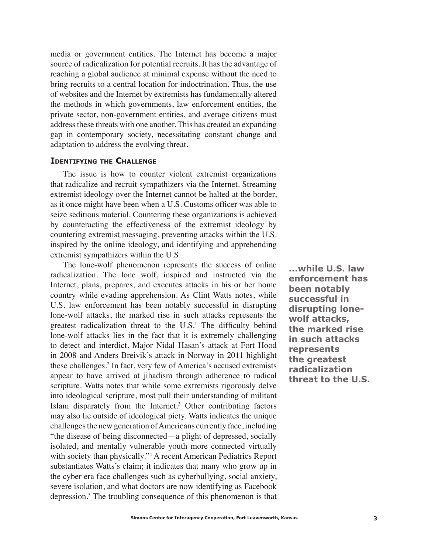media or government entities. The Internet has become a major source of radicalization for potential recruits. It has the advantage of reaching a global audience at minimal expense without the need to bring recruits to a central location for indoctrination. Thus, the use of websites and the Internet by extremists has fundamentally altered the methods in which governments, law enforcement entities, the private sector, non-government entities, and average citizens must address these threats with one another. This has created an expanding gap in contemporary society, necessitating constant change and adaptation to address the evolving threat.

#### **Identifying the Challenge**

The issue is how to counter violent extremist organizations that radicalize and recruit sympathizers via the Internet. Streaming extremist ideology over the Internet cannot be halted at the border, as it once might have been when a U.S. Customs officer was able to seize seditious material. Countering these organizations is achieved by counteracting the effectiveness of the extremist ideology by countering extremist messaging, preventing attacks within the U.S. inspired by the online ideology, and identifying and apprehending extremist sympathizers within the U.S.

The lone-wolf phenomenon represents the success of online radicalization. The lone wolf, inspired and instructed via the Internet, plans, prepares, and executes attacks in his or her home country while evading apprehension. As Clint Watts notes, while U.S. law enforcement has been notably successful in disrupting lone-wolf attacks, the marked rise in such attacks represents the greatest radicalization threat to the  $U.S.<sup>1</sup>$  The difficulty behind lone-wolf attacks lies in the fact that it is extremely challenging to detect and interdict. Major Nidal Hasan's attack at Fort Hood in 2008 and Anders Breivik's attack in Norway in 2011 highlight these challenges.2 In fact, very few of America's accused extremists appear to have arrived at jihadism through adherence to radical scripture. Watts notes that while some extremists rigorously delve into ideological scripture, most pull their understanding of militant Islam disparately from the Internet.<sup>3</sup> Other contributing factors may also lie outside of ideological piety. Watts indicates the unique challenges the new generation of Americans currently face, including "the disease of being disconnected—a plight of depressed, socially isolated, and mentally vulnerable youth more connected virtually with society than physically."<sup>4</sup> A recent American Pediatrics Report substantiates Watts's claim; it indicates that many who grow up in the cyber era face challenges such as cyberbullying, social anxiety, severe isolation, and what doctors are now identifying as Facebook depression.<sup>5</sup> The troubling consequence of this phenomenon is that

**...while U.S. law enforcement has been notably successful in disrupting lonewolf attacks, the marked rise in such attacks represents the greatest radicalization threat to the U.S.**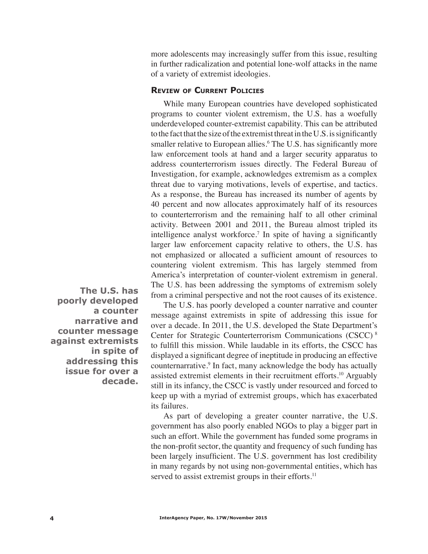more adolescents may increasingly suffer from this issue, resulting in further radicalization and potential lone-wolf attacks in the name of a variety of extremist ideologies.

#### **Review of Current Policies**

While many European countries have developed sophisticated programs to counter violent extremism, the U.S. has a woefully underdeveloped counter-extremist capability. This can be attributed to the fact that the size of the extremist threat in the U.S. is significantly smaller relative to European allies.<sup>6</sup> The U.S. has significantly more law enforcement tools at hand and a larger security apparatus to address counterterrorism issues directly. The Federal Bureau of Investigation, for example, acknowledges extremism as a complex threat due to varying motivations, levels of expertise, and tactics. As a response, the Bureau has increased its number of agents by 40 percent and now allocates approximately half of its resources to counterterrorism and the remaining half to all other criminal activity. Between 2001 and 2011, the Bureau almost tripled its intelligence analyst workforce.<sup>7</sup> In spite of having a significantly larger law enforcement capacity relative to others, the U.S. has not emphasized or allocated a sufficient amount of resources to countering violent extremism. This has largely stemmed from America's interpretation of counter-violent extremism in general. The U.S. has been addressing the symptoms of extremism solely from a criminal perspective and not the root causes of its existence.

The U.S. has poorly developed a counter narrative and counter message against extremists in spite of addressing this issue for over a decade. In 2011, the U.S. developed the State Department's Center for Strategic Counterterrorism Communications (CSCC) 8 to fulfill this mission. While laudable in its efforts, the CSCC has displayed a significant degree of ineptitude in producing an effective counternarrative.<sup>9</sup> In fact, many acknowledge the body has actually assisted extremist elements in their recruitment efforts.<sup>10</sup> Arguably still in its infancy, the CSCC is vastly under resourced and forced to keep up with a myriad of extremist groups, which has exacerbated its failures.

As part of developing a greater counter narrative, the U.S. government has also poorly enabled NGOs to play a bigger part in such an effort. While the government has funded some programs in the non-profit sector, the quantity and frequency of such funding has been largely insufficient. The U.S. government has lost credibility in many regards by not using non-governmental entities, which has served to assist extremist groups in their efforts.<sup>11</sup>

**The U.S. has poorly developed a counter narrative and counter message against extremists in spite of addressing this issue for over a decade.**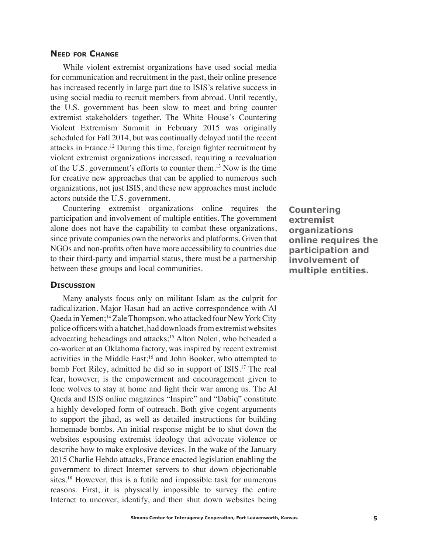#### **Need for Change**

While violent extremist organizations have used social media for communication and recruitment in the past, their online presence has increased recently in large part due to ISIS's relative success in using social media to recruit members from abroad. Until recently, the U.S. government has been slow to meet and bring counter extremist stakeholders together. The White House's Countering Violent Extremism Summit in February 2015 was originally scheduled for Fall 2014, but was continually delayed until the recent attacks in France.12 During this time, foreign fighter recruitment by violent extremist organizations increased, requiring a reevaluation of the U.S. government's efforts to counter them.13 Now is the time for creative new approaches that can be applied to numerous such organizations, not just ISIS, and these new approaches must include actors outside the U.S. government.

Countering extremist organizations online requires the participation and involvement of multiple entities. The government alone does not have the capability to combat these organizations, since private companies own the networks and platforms. Given that NGOs and non-profits often have more accessibility to countries due to their third-party and impartial status, there must be a partnership between these groups and local communities.

#### **Discussion**

Many analysts focus only on militant Islam as the culprit for radicalization. Major Hasan had an active correspondence with Al Qaeda in Yemen;14 Zale Thompson, who attacked four New York City police officers with a hatchet, had downloads from extremist websites advocating beheadings and attacks;15 Alton Nolen, who beheaded a co-worker at an Oklahoma factory, was inspired by recent extremist activities in the Middle East;<sup>16</sup> and John Booker, who attempted to bomb Fort Riley, admitted he did so in support of ISIS.<sup>17</sup> The real fear, however, is the empowerment and encouragement given to lone wolves to stay at home and fight their war among us. The Al Qaeda and ISIS online magazines "Inspire" and "Dabiq" constitute a highly developed form of outreach. Both give cogent arguments to support the jihad, as well as detailed instructions for building homemade bombs. An initial response might be to shut down the websites espousing extremist ideology that advocate violence or describe how to make explosive devices. In the wake of the January 2015 Charlie Hebdo attacks, France enacted legislation enabling the government to direct Internet servers to shut down objectionable sites.18 However, this is a futile and impossible task for numerous reasons. First, it is physically impossible to survey the entire Internet to uncover, identify, and then shut down websites being

**Countering extremist organizations online requires the participation and involvement of multiple entities.**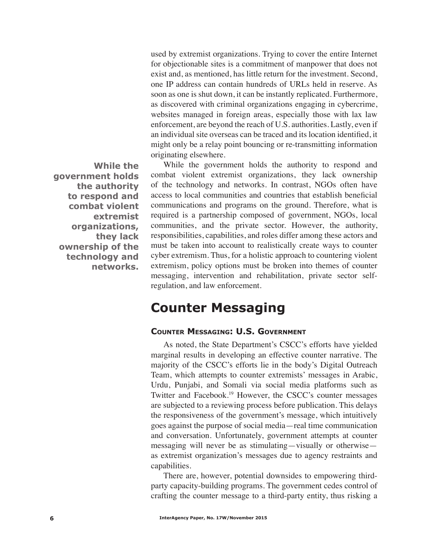used by extremist organizations. Trying to cover the entire Internet for objectionable sites is a commitment of manpower that does not exist and, as mentioned, has little return for the investment. Second, one IP address can contain hundreds of URLs held in reserve. As soon as one is shut down, it can be instantly replicated. Furthermore, as discovered with criminal organizations engaging in cybercrime, websites managed in foreign areas, especially those with lax law enforcement, are beyond the reach of U.S. authorities. Lastly, even if an individual site overseas can be traced and its location identified, it might only be a relay point bouncing or re-transmitting information originating elsewhere.

**While the government holds the authority to respond and combat violent extremist organizations, they lack ownership of the technology and networks.**

While the government holds the authority to respond and combat violent extremist organizations, they lack ownership of the technology and networks. In contrast, NGOs often have access to local communities and countries that establish beneficial communications and programs on the ground. Therefore, what is required is a partnership composed of government, NGOs, local communities, and the private sector. However, the authority, responsibilities, capabilities, and roles differ among these actors and must be taken into account to realistically create ways to counter cyber extremism. Thus, for a holistic approach to countering violent extremism, policy options must be broken into themes of counter messaging, intervention and rehabilitation, private sector selfregulation, and law enforcement.

## **Counter Messaging**

### **Counter Messaging: U.S. Government**

As noted, the State Department's CSCC's efforts have yielded marginal results in developing an effective counter narrative. The majority of the CSCC's efforts lie in the body's Digital Outreach Team, which attempts to counter extremists' messages in Arabic, Urdu, Punjabi, and Somali via social media platforms such as Twitter and Facebook.19 However, the CSCC's counter messages are subjected to a reviewing process before publication. This delays the responsiveness of the government's message, which intuitively goes against the purpose of social media—real time communication and conversation. Unfortunately, government attempts at counter messaging will never be as stimulating—visually or otherwise as extremist organization's messages due to agency restraints and capabilities.

There are, however, potential downsides to empowering thirdparty capacity-building programs. The government cedes control of crafting the counter message to a third-party entity, thus risking a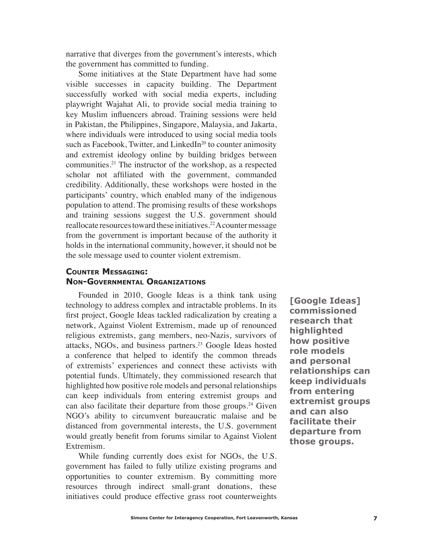narrative that diverges from the government's interests, which the government has committed to funding.

Some initiatives at the State Department have had some visible successes in capacity building. The Department successfully worked with social media experts, including playwright Wajahat Ali, to provide social media training to key Muslim influencers abroad. Training sessions were held in Pakistan, the Philippines, Singapore, Malaysia, and Jakarta, where individuals were introduced to using social media tools such as Facebook, Twitter, and LinkedIn<sup>20</sup> to counter animosity and extremist ideology online by building bridges between communities.21 The instructor of the workshop, as a respected scholar not affiliated with the government, commanded credibility. Additionally, these workshops were hosted in the participants' country, which enabled many of the indigenous population to attend. The promising results of these workshops and training sessions suggest the U.S. government should reallocate resources toward these initiatives.<sup>22</sup> A counter message from the government is important because of the authority it holds in the international community, however, it should not be the sole message used to counter violent extremism.

## **Counter Messaging: Non-Governmental Organizations**

Founded in 2010, Google Ideas is a think tank using technology to address complex and intractable problems. In its first project, Google Ideas tackled radicalization by creating a network, Against Violent Extremism, made up of renounced religious extremists, gang members, neo-Nazis, survivors of attacks, NGOs, and business partners.23 Google Ideas hosted a conference that helped to identify the common threads of extremists' experiences and connect these activists with potential funds. Ultimately, they commissioned research that highlighted how positive role models and personal relationships can keep individuals from entering extremist groups and can also facilitate their departure from those groups.<sup>24</sup> Given NGO's ability to circumvent bureaucratic malaise and be distanced from governmental interests, the U.S. government would greatly benefit from forums similar to Against Violent Extremism.

While funding currently does exist for NGOs, the U.S. government has failed to fully utilize existing programs and opportunities to counter extremism. By committing more resources through indirect small-grant donations, these initiatives could produce effective grass root counterweights

**[Google Ideas] commissioned research that highlighted how positive role models and personal relationships can keep individuals from entering extremist groups and can also facilitate their departure from those groups.**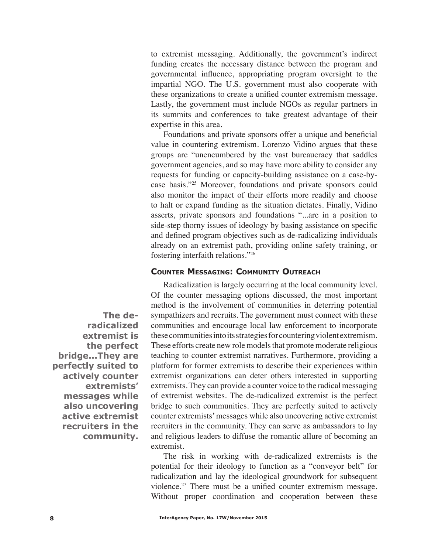to extremist messaging. Additionally, the government's indirect funding creates the necessary distance between the program and governmental influence, appropriating program oversight to the impartial NGO. The U.S. government must also cooperate with these organizations to create a unified counter extremism message. Lastly, the government must include NGOs as regular partners in its summits and conferences to take greatest advantage of their expertise in this area.

Foundations and private sponsors offer a unique and beneficial value in countering extremism. Lorenzo Vidino argues that these groups are "unencumbered by the vast bureaucracy that saddles government agencies, and so may have more ability to consider any requests for funding or capacity-building assistance on a case-bycase basis."25 Moreover, foundations and private sponsors could also monitor the impact of their efforts more readily and choose to halt or expand funding as the situation dictates. Finally, Vidino asserts, private sponsors and foundations "...are in a position to side-step thorny issues of ideology by basing assistance on specific and defined program objectives such as de-radicalizing individuals already on an extremist path, providing online safety training, or fostering interfaith relations."26

#### **Counter Messaging: Community Outreach**

Radicalization is largely occurring at the local community level. Of the counter messaging options discussed, the most important method is the involvement of communities in deterring potential sympathizers and recruits. The government must connect with these communities and encourage local law enforcement to incorporate these communities into its strategies for countering violent extremism. These efforts create new role models that promote moderate religious teaching to counter extremist narratives. Furthermore, providing a platform for former extremists to describe their experiences within extremist organizations can deter others interested in supporting extremists. They can provide a counter voice to the radical messaging of extremist websites. The de-radicalized extremist is the perfect bridge to such communities. They are perfectly suited to actively counter extremists' messages while also uncovering active extremist recruiters in the community. They can serve as ambassadors to lay and religious leaders to diffuse the romantic allure of becoming an extremist.

The risk in working with de-radicalized extremists is the potential for their ideology to function as a "conveyor belt" for radicalization and lay the ideological groundwork for subsequent violence.27 There must be a unified counter extremism message. Without proper coordination and cooperation between these

**The deradicalized extremist is the perfect bridge...They are perfectly suited to actively counter extremists' messages while also uncovering active extremist recruiters in the community.**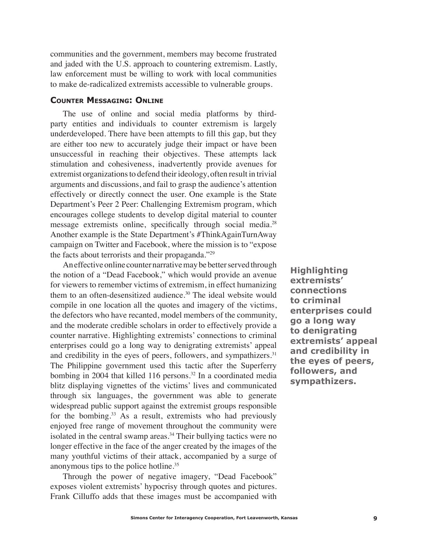communities and the government, members may become frustrated and jaded with the U.S. approach to countering extremism. Lastly, law enforcement must be willing to work with local communities to make de-radicalized extremists accessible to vulnerable groups.

#### **Counter Messaging: Online**

The use of online and social media platforms by thirdparty entities and individuals to counter extremism is largely underdeveloped. There have been attempts to fill this gap, but they are either too new to accurately judge their impact or have been unsuccessful in reaching their objectives. These attempts lack stimulation and cohesiveness, inadvertently provide avenues for extremist organizations to defend their ideology, often result in trivial arguments and discussions, and fail to grasp the audience's attention effectively or directly connect the user. One example is the State Department's Peer 2 Peer: Challenging Extremism program, which encourages college students to develop digital material to counter message extremists online, specifically through social media.<sup>28</sup> Another example is the State Department's #ThinkAgainTurnAway campaign on Twitter and Facebook, where the mission is to "expose the facts about terrorists and their propaganda."29

An effective online counter narrative may be better served through the notion of a "Dead Facebook," which would provide an avenue for viewers to remember victims of extremism, in effect humanizing them to an often-desensitized audience.<sup>30</sup> The ideal website would compile in one location all the quotes and imagery of the victims, the defectors who have recanted, model members of the community, and the moderate credible scholars in order to effectively provide a counter narrative. Highlighting extremists' connections to criminal enterprises could go a long way to denigrating extremists' appeal and credibility in the eyes of peers, followers, and sympathizers.<sup>31</sup> The Philippine government used this tactic after the Superferry bombing in 2004 that killed 116 persons.<sup>32</sup> In a coordinated media blitz displaying vignettes of the victims' lives and communicated through six languages, the government was able to generate widespread public support against the extremist groups responsible for the bombing.33 As a result, extremists who had previously enjoyed free range of movement throughout the community were isolated in the central swamp areas.<sup>34</sup> Their bullying tactics were no longer effective in the face of the anger created by the images of the many youthful victims of their attack, accompanied by a surge of anonymous tips to the police hotline.35

Through the power of negative imagery, "Dead Facebook" exposes violent extremists' hypocrisy through quotes and pictures. Frank Cilluffo adds that these images must be accompanied with

**Highlighting extremists' connections to criminal enterprises could go a long way to denigrating extremists' appeal and credibility in the eyes of peers, followers, and sympathizers.**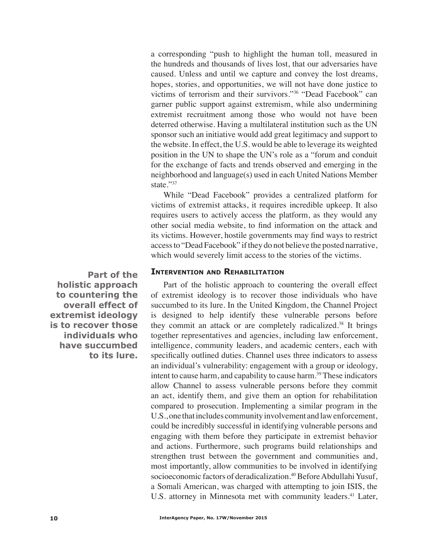a corresponding "push to highlight the human toll, measured in the hundreds and thousands of lives lost, that our adversaries have caused. Unless and until we capture and convey the lost dreams, hopes, stories, and opportunities, we will not have done justice to victims of terrorism and their survivors."36 "Dead Facebook" can garner public support against extremism, while also undermining extremist recruitment among those who would not have been deterred otherwise. Having a multilateral institution such as the UN sponsor such an initiative would add great legitimacy and support to the website. In effect, the U.S. would be able to leverage its weighted position in the UN to shape the UN's role as a "forum and conduit for the exchange of facts and trends observed and emerging in the neighborhood and language(s) used in each United Nations Member state."37

While "Dead Facebook" provides a centralized platform for victims of extremist attacks, it requires incredible upkeep. It also requires users to actively access the platform, as they would any other social media website, to find information on the attack and its victims. However, hostile governments may find ways to restrict access to "Dead Facebook" if they do not believe the posted narrative, which would severely limit access to the stories of the victims.

#### **Intervention and Rehabilitation**

Part of the holistic approach to countering the overall effect of extremist ideology is to recover those individuals who have succumbed to its lure. In the United Kingdom, the Channel Project is designed to help identify these vulnerable persons before they commit an attack or are completely radicalized.38 It brings together representatives and agencies, including law enforcement, intelligence, community leaders, and academic centers, each with specifically outlined duties. Channel uses three indicators to assess an individual's vulnerability: engagement with a group or ideology, intent to cause harm, and capability to cause harm.<sup>39</sup> These indicators allow Channel to assess vulnerable persons before they commit an act, identify them, and give them an option for rehabilitation compared to prosecution. Implementing a similar program in the U.S., one that includes community involvement and law enforcement, could be incredibly successful in identifying vulnerable persons and engaging with them before they participate in extremist behavior and actions. Furthermore, such programs build relationships and strengthen trust between the government and communities and, most importantly, allow communities to be involved in identifying socioeconomic factors of deradicalization.<sup>40</sup> Before Abdullahi Yusuf, a Somali American, was charged with attempting to join ISIS, the U.S. attorney in Minnesota met with community leaders.<sup>41</sup> Later,

**Part of the holistic approach to countering the overall effect of extremist ideology is to recover those individuals who have succumbed to its lure.**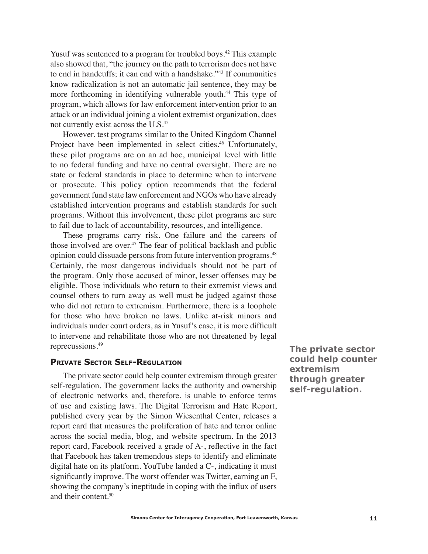Yusuf was sentenced to a program for troubled boys.<sup>42</sup> This example also showed that, "the journey on the path to terrorism does not have to end in handcuffs; it can end with a handshake."43 If communities know radicalization is not an automatic jail sentence, they may be more forthcoming in identifying vulnerable youth.<sup>44</sup> This type of program, which allows for law enforcement intervention prior to an attack or an individual joining a violent extremist organization, does not currently exist across the U.S.45

However, test programs similar to the United Kingdom Channel Project have been implemented in select cities.<sup>46</sup> Unfortunately, these pilot programs are on an ad hoc, municipal level with little to no federal funding and have no central oversight. There are no state or federal standards in place to determine when to intervene or prosecute. This policy option recommends that the federal government fund state law enforcement and NGOs who have already established intervention programs and establish standards for such programs. Without this involvement, these pilot programs are sure to fail due to lack of accountability, resources, and intelligence.

These programs carry risk. One failure and the careers of those involved are over. $47$  The fear of political backlash and public opinion could dissuade persons from future intervention programs.48 Certainly, the most dangerous individuals should not be part of the program. Only those accused of minor, lesser offenses may be eligible. Those individuals who return to their extremist views and counsel others to turn away as well must be judged against those who did not return to extremism. Furthermore, there is a loophole for those who have broken no laws. Unlike at-risk minors and individuals under court orders, as in Yusuf's case, it is more difficult to intervene and rehabilitate those who are not threatened by legal reprecussions.49

## **Private Sector Self-Regulation**

The private sector could help counter extremism through greater self-regulation. The government lacks the authority and ownership of electronic networks and, therefore, is unable to enforce terms of use and existing laws. The Digital Terrorism and Hate Report, published every year by the Simon Wiesenthal Center, releases a report card that measures the proliferation of hate and terror online across the social media, blog, and website spectrum. In the 2013 report card, Facebook received a grade of A-, reflective in the fact that Facebook has taken tremendous steps to identify and eliminate digital hate on its platform. YouTube landed a C-, indicating it must significantly improve. The worst offender was Twitter, earning an F, showing the company's ineptitude in coping with the influx of users and their content.50

**The private sector could help counter extremism through greater self-regulation.**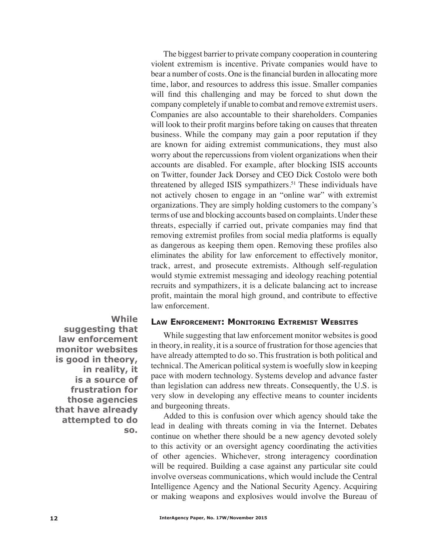The biggest barrier to private company cooperation in countering violent extremism is incentive. Private companies would have to bear a number of costs. One is the financial burden in allocating more time, labor, and resources to address this issue. Smaller companies will find this challenging and may be forced to shut down the company completely if unable to combat and remove extremist users. Companies are also accountable to their shareholders. Companies will look to their profit margins before taking on causes that threaten business. While the company may gain a poor reputation if they are known for aiding extremist communications, they must also worry about the repercussions from violent organizations when their accounts are disabled. For example, after blocking ISIS accounts on Twitter, founder Jack Dorsey and CEO Dick Costolo were both threatened by alleged ISIS sympathizers.<sup>51</sup> These individuals have not actively chosen to engage in an "online war" with extremist organizations. They are simply holding customers to the company's terms of use and blocking accounts based on complaints. Under these threats, especially if carried out, private companies may find that removing extremist profiles from social media platforms is equally as dangerous as keeping them open. Removing these profiles also eliminates the ability for law enforcement to effectively monitor, track, arrest, and prosecute extremists. Although self-regulation would stymie extremist messaging and ideology reaching potential recruits and sympathizers, it is a delicate balancing act to increase profit, maintain the moral high ground, and contribute to effective law enforcement.

### **Law Enforcement: Monitoring Extremist Websites**

**suggesting that law enforcement monitor websites is good in theory, in reality, it is a source of frustration for those agencies that have already attempted to do so.**

**While** 

While suggesting that law enforcement monitor websites is good in theory, in reality, it is a source of frustration for those agencies that have already attempted to do so. This frustration is both political and technical. The American political system is woefully slow in keeping pace with modern technology. Systems develop and advance faster than legislation can address new threats. Consequently, the U.S. is very slow in developing any effective means to counter incidents and burgeoning threats.

Added to this is confusion over which agency should take the lead in dealing with threats coming in via the Internet. Debates continue on whether there should be a new agency devoted solely to this activity or an oversight agency coordinating the activities of other agencies. Whichever, strong interagency coordination will be required. Building a case against any particular site could involve overseas communications, which would include the Central Intelligence Agency and the National Security Agency. Acquiring or making weapons and explosives would involve the Bureau of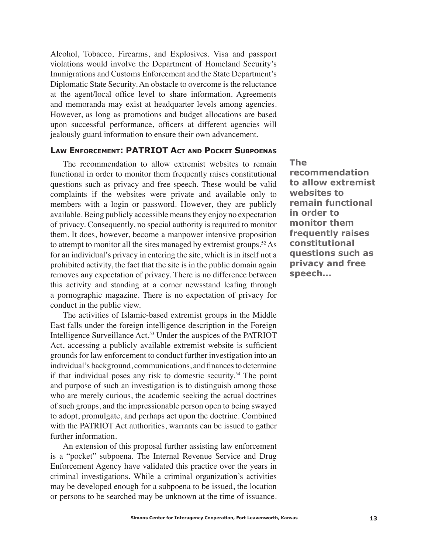Alcohol, Tobacco, Firearms, and Explosives. Visa and passport violations would involve the Department of Homeland Security's Immigrations and Customs Enforcement and the State Department's Diplomatic State Security. An obstacle to overcome is the reluctance at the agent/local office level to share information. Agreements and memoranda may exist at headquarter levels among agencies. However, as long as promotions and budget allocations are based upon successful performance, officers at different agencies will jealously guard information to ensure their own advancement.

### **Law Enforcement: PATRIOT Act and Pocket Subpoenas**

The recommendation to allow extremist websites to remain functional in order to monitor them frequently raises constitutional questions such as privacy and free speech. These would be valid complaints if the websites were private and available only to members with a login or password. However, they are publicly available. Being publicly accessible means they enjoy no expectation of privacy. Consequently, no special authority is required to monitor them. It does, however, become a manpower intensive proposition to attempt to monitor all the sites managed by extremist groups.52 As for an individual's privacy in entering the site, which is in itself not a prohibited activity, the fact that the site is in the public domain again removes any expectation of privacy. There is no difference between this activity and standing at a corner newsstand leafing through a pornographic magazine. There is no expectation of privacy for conduct in the public view.

The activities of Islamic-based extremist groups in the Middle East falls under the foreign intelligence description in the Foreign Intelligence Surveillance Act.53 Under the auspices of the PATRIOT Act, accessing a publicly available extremist website is sufficient grounds for law enforcement to conduct further investigation into an individual's background, communications, and finances to determine if that individual poses any risk to domestic security.54 The point and purpose of such an investigation is to distinguish among those who are merely curious, the academic seeking the actual doctrines of such groups, and the impressionable person open to being swayed to adopt, promulgate, and perhaps act upon the doctrine. Combined with the PATRIOT Act authorities, warrants can be issued to gather further information.

An extension of this proposal further assisting law enforcement is a "pocket" subpoena. The Internal Revenue Service and Drug Enforcement Agency have validated this practice over the years in criminal investigations. While a criminal organization's activities may be developed enough for a subpoena to be issued, the location or persons to be searched may be unknown at the time of issuance. **The recommendation to allow extremist websites to remain functional in order to monitor them frequently raises constitutional questions such as privacy and free speech...**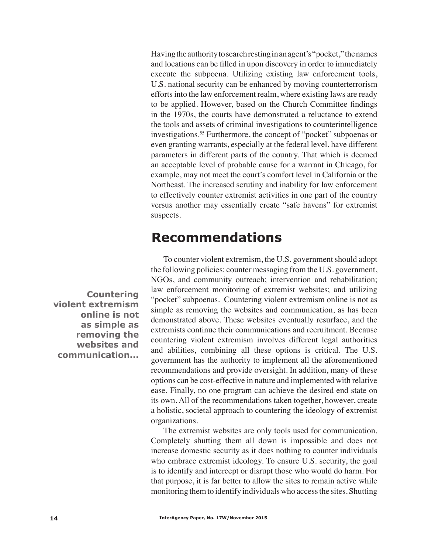Having the authority to search resting in an agent's "pocket," the names and locations can be filled in upon discovery in order to immediately execute the subpoena. Utilizing existing law enforcement tools, U.S. national security can be enhanced by moving counterterrorism efforts into the law enforcement realm, where existing laws are ready to be applied. However, based on the Church Committee findings in the 1970s, the courts have demonstrated a reluctance to extend the tools and assets of criminal investigations to counterintelligence investigations.55 Furthermore, the concept of "pocket" subpoenas or even granting warrants, especially at the federal level, have different parameters in different parts of the country. That which is deemed an acceptable level of probable cause for a warrant in Chicago, for example, may not meet the court's comfort level in California or the Northeast. The increased scrutiny and inability for law enforcement to effectively counter extremist activities in one part of the country versus another may essentially create "safe havens" for extremist suspects.

## **Recommendations**

**Countering violent extremism online is not as simple as removing the websites and communication...**

To counter violent extremism, the U.S. government should adopt the following policies: counter messaging from the U.S. government, NGOs, and community outreach; intervention and rehabilitation; law enforcement monitoring of extremist websites; and utilizing "pocket" subpoenas. Countering violent extremism online is not as simple as removing the websites and communication, as has been demonstrated above. These websites eventually resurface, and the extremists continue their communications and recruitment. Because countering violent extremism involves different legal authorities and abilities, combining all these options is critical. The U.S. government has the authority to implement all the aforementioned recommendations and provide oversight. In addition, many of these options can be cost-effective in nature and implemented with relative ease. Finally, no one program can achieve the desired end state on its own. All of the recommendations taken together, however, create a holistic, societal approach to countering the ideology of extremist organizations.

The extremist websites are only tools used for communication. Completely shutting them all down is impossible and does not increase domestic security as it does nothing to counter individuals who embrace extremist ideology. To ensure U.S. security, the goal is to identify and intercept or disrupt those who would do harm. For that purpose, it is far better to allow the sites to remain active while monitoring them to identify individuals who access the sites. Shutting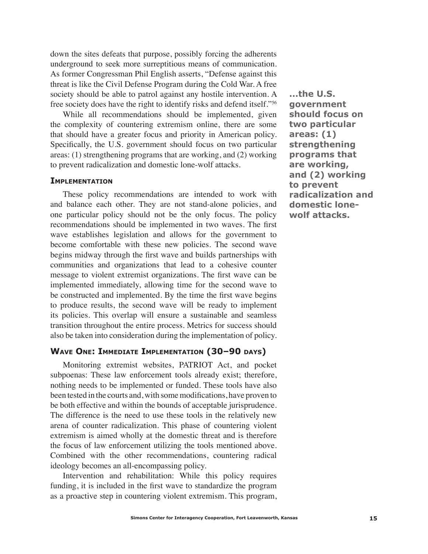down the sites defeats that purpose, possibly forcing the adherents underground to seek more surreptitious means of communication. As former Congressman Phil English asserts, "Defense against this threat is like the Civil Defense Program during the Cold War. A free society should be able to patrol against any hostile intervention. A free society does have the right to identify risks and defend itself."56

While all recommendations should be implemented, given the complexity of countering extremism online, there are some that should have a greater focus and priority in American policy. Specifically, the U.S. government should focus on two particular areas: (1) strengthening programs that are working, and (2) working to prevent radicalization and domestic lone-wolf attacks.

#### **Implementation**

These policy recommendations are intended to work with and balance each other. They are not stand-alone policies, and one particular policy should not be the only focus. The policy recommendations should be implemented in two waves. The first wave establishes legislation and allows for the government to become comfortable with these new policies. The second wave begins midway through the first wave and builds partnerships with communities and organizations that lead to a cohesive counter message to violent extremist organizations. The first wave can be implemented immediately, allowing time for the second wave to be constructed and implemented. By the time the first wave begins to produce results, the second wave will be ready to implement its policies. This overlap will ensure a sustainable and seamless transition throughout the entire process. Metrics for success should also be taken into consideration during the implementation of policy.

### **Wave One: Immediate Implementation (30–90 days)**

Monitoring extremist websites, PATRIOT Act, and pocket subpoenas: These law enforcement tools already exist; therefore, nothing needs to be implemented or funded. These tools have also been tested in the courts and, with some modifications, have proven to be both effective and within the bounds of acceptable jurisprudence. The difference is the need to use these tools in the relatively new arena of counter radicalization. This phase of countering violent extremism is aimed wholly at the domestic threat and is therefore the focus of law enforcement utilizing the tools mentioned above. Combined with the other recommendations, countering radical ideology becomes an all-encompassing policy.

Intervention and rehabilitation: While this policy requires funding, it is included in the first wave to standardize the program as a proactive step in countering violent extremism. This program,

**...the U.S. government should focus on two particular areas: (1) strengthening programs that are working, and (2) working to prevent radicalization and domestic lonewolf attacks.**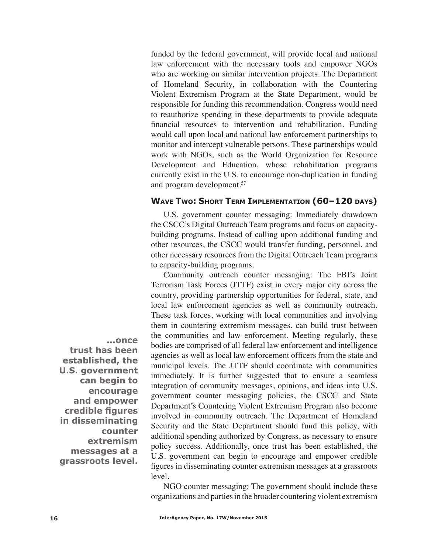funded by the federal government, will provide local and national law enforcement with the necessary tools and empower NGOs who are working on similar intervention projects. The Department of Homeland Security, in collaboration with the Countering Violent Extremism Program at the State Department, would be responsible for funding this recommendation. Congress would need to reauthorize spending in these departments to provide adequate financial resources to intervention and rehabilitation. Funding would call upon local and national law enforcement partnerships to monitor and intercept vulnerable persons. These partnerships would work with NGOs, such as the World Organization for Resource Development and Education, whose rehabilitation programs currently exist in the U.S. to encourage non-duplication in funding and program development.57

## **Wave Two: Short Term Implementation (60–120 days)**

U.S. government counter messaging: Immediately drawdown the CSCC's Digital Outreach Team programs and focus on capacitybuilding programs. Instead of calling upon additional funding and other resources, the CSCC would transfer funding, personnel, and other necessary resources from the Digital Outreach Team programs to capacity-building programs.

Community outreach counter messaging: The FBI's Joint Terrorism Task Forces (JTTF) exist in every major city across the country, providing partnership opportunities for federal, state, and local law enforcement agencies as well as community outreach. These task forces, working with local communities and involving them in countering extremism messages, can build trust between the communities and law enforcement. Meeting regularly, these bodies are comprised of all federal law enforcement and intelligence agencies as well as local law enforcement officers from the state and municipal levels. The JTTF should coordinate with communities immediately. It is further suggested that to ensure a seamless integration of community messages, opinions, and ideas into U.S. government counter messaging policies, the CSCC and State Department's Countering Violent Extremism Program also become involved in community outreach. The Department of Homeland Security and the State Department should fund this policy, with additional spending authorized by Congress, as necessary to ensure policy success. Additionally, once trust has been established, the U.S. government can begin to encourage and empower credible figures in disseminating counter extremism messages at a grassroots level.

NGO counter messaging: The government should include these organizations and parties in the broader countering violent extremism

**...once** 

**trust has been established, the U.S. government can begin to encourage and empower credible figures in disseminating counter extremism messages at a grassroots level.**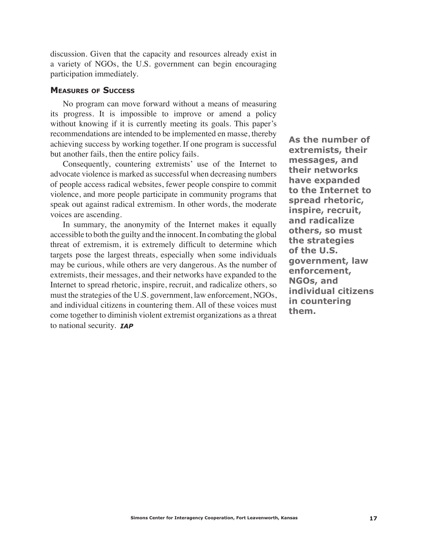discussion. Given that the capacity and resources already exist in a variety of NGOs, the U.S. government can begin encouraging participation immediately.

#### **Measures of Success**

No program can move forward without a means of measuring its progress. It is impossible to improve or amend a policy without knowing if it is currently meeting its goals. This paper's recommendations are intended to be implemented en masse, thereby achieving success by working together. If one program is successful but another fails, then the entire policy fails.

Consequently, countering extremists' use of the Internet to advocate violence is marked as successful when decreasing numbers of people access radical websites, fewer people conspire to commit violence, and more people participate in community programs that speak out against radical extremism. In other words, the moderate voices are ascending.

to national security. **IAP** In summary, the anonymity of the Internet makes it equally accessible to both the guilty and the innocent. In combating the global threat of extremism, it is extremely difficult to determine which targets pose the largest threats, especially when some individuals may be curious, while others are very dangerous. As the number of extremists, their messages, and their networks have expanded to the Internet to spread rhetoric, inspire, recruit, and radicalize others, so must the strategies of the U.S. government, law enforcement, NGOs, and individual citizens in countering them. All of these voices must come together to diminish violent extremist organizations as a threat

**As the number of extremists, their messages, and their networks have expanded to the Internet to spread rhetoric, inspire, recruit, and radicalize others, so must the strategies of the U.S. government, law enforcement, NGOs, and individual citizens in countering them.**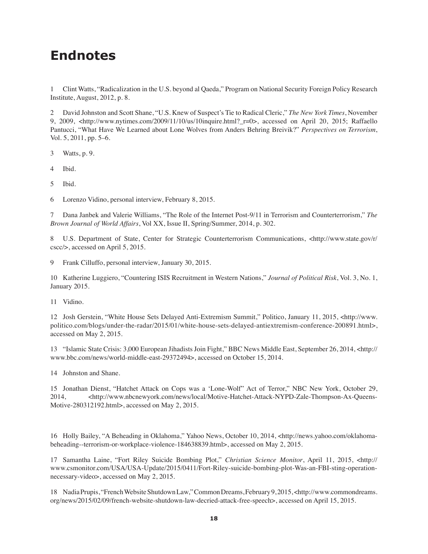## **Endnotes**

1 Clint Watts, "Radicalization in the U.S. beyond al Qaeda," Program on National Security Foreign Policy Research Institute, August, 2012, p. 8.

2 David Johnston and Scott Shane, "U.S. Knew of Suspect's Tie to Radical Cleric," *The New York Times*, November 9, 2009, <http://www.nytimes.com/2009/11/10/us/10inquire.html?\_r=0>, accessed on April 20, 2015; Raffaello Pantucci, "What Have We Learned about Lone Wolves from Anders Behring Breivik?" *Perspectives on Terrorism*, Vol. 5, 2011, pp. 5–6.

3 Watts, p. 9.

4 Ibid.

5 Ibid.

6 Lorenzo Vidino, personal interview, February 8, 2015.

7 Dana Janbek and Valerie Williams, "The Role of the Internet Post-9/11 in Terrorism and Counterterrorism," *The Brown Journal of World Affairs*, Vol XX, Issue II, Spring/Summer, 2014, p. 302.

8 U.S. Department of State, Center for Strategic Counterterrorism Communications, <http://www.state.gov/r/ cscc/>, accessed on April 5, 2015.

9 Frank Cilluffo, personal interview, January 30, 2015.

10 Katherine Luggiero, "Countering ISIS Recruitment in Western Nations," *Journal of Political Risk*, Vol. 3, No. 1, January 2015.

11 Vidino.

12 Josh Gerstein, "White House Sets Delayed Anti-Extremism Summit," Politico, January 11, 2015, <http://www. politico.com/blogs/under-the-radar/2015/01/white-house-sets-delayed-antiextremism-conference-200891.html>, accessed on May 2, 2015.

13 "Islamic State Crisis: 3,000 European Jihadists Join Fight," BBC News Middle East, September 26, 2014, <http:// www.bbc.com/news/world-middle-east-29372494>, accessed on October 15, 2014.

14 Johnston and Shane.

15 Jonathan Dienst, "Hatchet Attack on Cops was a 'Lone-Wolf" Act of Terror," NBC New York, October 29, 2014,  $\langle$ http://www.nbcnewyork.com/news/local/Motive-Hatchet-Attack-NYPD-Zale-Thompson-Ax-Queens-Motive-280312192.html>, accessed on May 2, 2015.

16 Holly Bailey, "A Beheading in Oklahoma," Yahoo News, October 10, 2014, <http://news.yahoo.com/oklahomabeheading--terrorism-or-workplace-violence-184638839.html>, accessed on May 2, 2015.

17 Samantha Laine, "Fort Riley Suicide Bombing Plot," *Christian Science Monitor*, April 11, 2015, <http:// www.csmonitor.com/USA/USA-Update/2015/0411/Fort-Riley-suicide-bombing-plot-Was-an-FBI-sting-operationnecessary-video>, accessed on May 2, 2015.

18 Nadia Prupis, "French Website Shutdown Law," Common Dreams, February 9, 2015, <http://www.commondreams. org/news/2015/02/09/french-website-shutdown-law-decried-attack-free-speech>, accessed on April 15, 2015.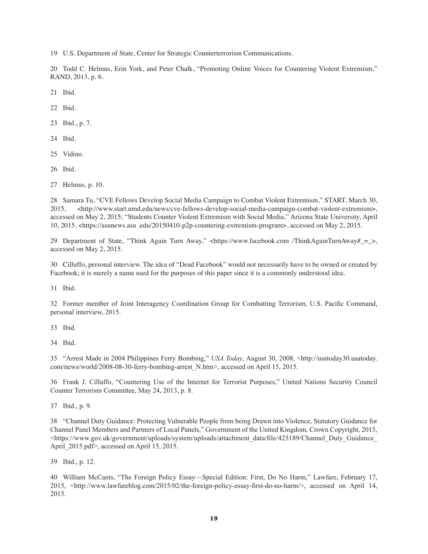19 U.S. Department of State, Center for Strategic Counterterrorism Communications.

20 Todd C. Helmus, Erin York, and Peter Chalk, "Promoting Online Voices for Countering Violent Extremism," RAND, 2013, p. 6.

21 Ibid.

22 Ibid.

23 Ibid., p. 7.

24 Ibid.

25 Vidino.

26 Ibid.

27 Helmus, p. 10.

28 Samara Tu, "CVE Fellows Develop Social Media Campaign to Combat Violent Extremism," START, March 30, 2015, <http://www.start.umd.edu/news/cve-fellows-develop-social-media-campaign-combat-violent-extremism>, accessed on May 2, 2015; "Students Counter Violent Extremism with Social Media," Arizona State University, April 10, 2015, <https://asunews.asu .edu/20150410-p2p-countering-extremism-program>, accessed on May 2, 2015.

29 Department of State, "Think Again Turn Away," <https://www.facebook.com /ThinkAgainTurnAway#\_=\_>, accessed on May 2, 2015.

30 Cilluffo, personal interview. The idea of "Dead Facebook" would not necessarily have to be owned or created by Facebook; it is merely a name used for the purposes of this paper since it is a commonly understood idea.

31 Ibid.

32 Former member of Joint Interagency Coordination Group for Combatting Terrorism, U.S. Pacific Command, personal interview, 2015.

33 Ibid.

34 Ibid.

35 "Arrest Made in 2004 Philippines Ferry Bombing," *USA Today*, August 30, 2008, <http://usatoday30.usatoday. com/news/world/2008-08-30-ferry-bombing-arrest\_N.htm>, accessed on April 15, 2015.

36 Frank J. Cilluffo, "Countering Use of the Internet for Terrorist Purposes," United Nations Security Council Counter Terrorism Committee, May 24, 2013, p. 8.

37 Ibid., p. 9.

38 "Channel Duty Guidance: Protecting Vulnerable People from being Drawn into Violence, Statutory Guidance for Channel Panel Members and Partners of Local Panels," Government of the United Kingdom*,* Crown Copyright, 2015,  $\lt$ https://www.gov.uk/government/uploads/system/uploads/attachment\_data/file/425189/Channel\_Duty\_Guidance April 2015.pdf>, accessed on April 15, 2015.

39 Ibid., p. 12.

40 William McCants, "The Foreign Policy Essay—Special Edition: First, Do No Harm," Lawfare, February 17, 2015, <http://www.lawfareblog.com/2015/02/the-foreign-policy-essay-first-do-no-harm/>, accessed on April 14, 2015.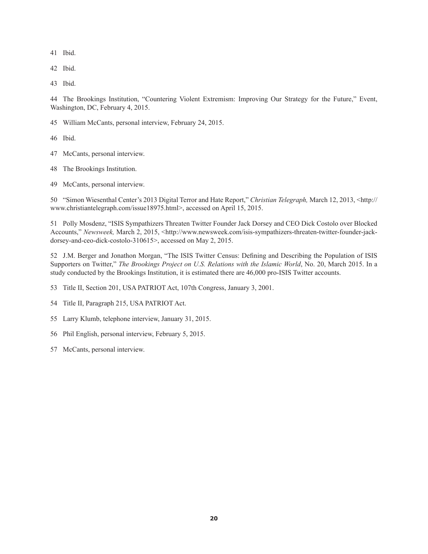Ibid.

Ibid.

Ibid.

 The Brookings Institution, "Countering Violent Extremism: Improving Our Strategy for the Future," Event, Washington, DC, February 4, 2015.

William McCants, personal interview, February 24, 2015.

Ibid.

- McCants, personal interview.
- The Brookings Institution.
- McCants, personal interview.

 "Simon Wiesenthal Center's 2013 Digital Terror and Hate Report," *Christian Telegraph,* March 12, 2013, <http:// www.christiantelegraph.com/issue18975.html>, accessed on April 15, 2015.

 Polly Mosdenz, "ISIS Sympathizers Threaten Twitter Founder Jack Dorsey and CEO Dick Costolo over Blocked Accounts," *Newsweek*, March 2, 2015, <http://www.newsweek.com/isis-sympathizers-threaten-twitter-founder-jackdorsey-and-ceo-dick-costolo-310615>, accessed on May 2, 2015.

52 J.M. Berger and Jonathon Morgan, "The ISIS Twitter Census: Defining and Describing the Population of ISIS Supporters on Twitter," *The Brookings Project on U.S. Relations with the Islamic World*, No. 20, March 2015. In a study conducted by the Brookings Institution, it is estimated there are 46,000 pro-ISIS Twitter accounts.

Title II, Section 201, USA PATRIOT Act, 107th Congress, January 3, 2001.

Title II, Paragraph 215, USA PATRIOT Act.

Larry Klumb, telephone interview, January 31, 2015.

Phil English, personal interview, February 5, 2015.

McCants, personal interview.